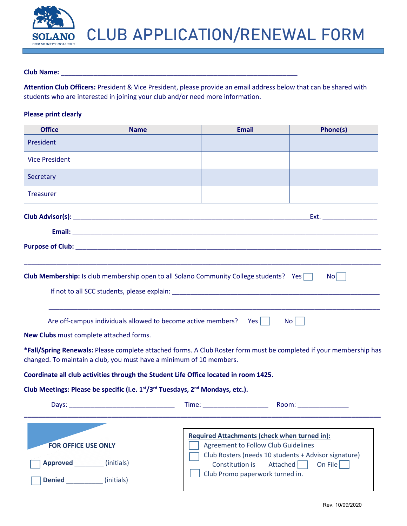

#### **Club Name:** \_\_\_\_\_\_\_\_\_\_\_\_\_\_\_\_\_\_\_\_\_\_\_\_\_\_\_\_\_\_\_\_\_\_\_\_\_\_\_\_\_\_\_\_\_\_\_\_\_\_\_\_\_\_\_\_\_\_\_\_\_\_\_\_\_

**Attention Club Officers:** President & Vice President, please provide an email address below that can be shared with students who are interested in joining your club and/or need more information.

### **Please print clearly**

| <b>Office</b>         | <b>Name</b>                                                                                                                                                                                                                   | <b>Email</b>                                                                                                                                                                                                                   | Phone(s)              |
|-----------------------|-------------------------------------------------------------------------------------------------------------------------------------------------------------------------------------------------------------------------------|--------------------------------------------------------------------------------------------------------------------------------------------------------------------------------------------------------------------------------|-----------------------|
| President             |                                                                                                                                                                                                                               |                                                                                                                                                                                                                                |                       |
| <b>Vice President</b> |                                                                                                                                                                                                                               |                                                                                                                                                                                                                                |                       |
| Secretary             |                                                                                                                                                                                                                               |                                                                                                                                                                                                                                |                       |
| <b>Treasurer</b>      |                                                                                                                                                                                                                               |                                                                                                                                                                                                                                |                       |
|                       | Club Advisor(s): the contract of the contract of the contract of the contract of the contract of the contract of the contract of the contract of the contract of the contract of the contract of the contract of the contract |                                                                                                                                                                                                                                | Ext.                  |
|                       |                                                                                                                                                                                                                               |                                                                                                                                                                                                                                |                       |
|                       |                                                                                                                                                                                                                               |                                                                                                                                                                                                                                |                       |
|                       |                                                                                                                                                                                                                               |                                                                                                                                                                                                                                |                       |
|                       | <b>Club Membership:</b> Is club membership open to all Solano Community College students? Yes                                                                                                                                 |                                                                                                                                                                                                                                | No                    |
|                       | Are off-campus individuals allowed to become active members?                                                                                                                                                                  | Yes                                                                                                                                                                                                                            | No <sub>1</sub>       |
|                       | New Clubs must complete attached forms.                                                                                                                                                                                       |                                                                                                                                                                                                                                |                       |
|                       | *Fall/Spring Renewals: Please complete attached forms. A Club Roster form must be completed if your membership has<br>changed. To maintain a club, you must have a minimum of 10 members.                                     |                                                                                                                                                                                                                                |                       |
|                       | Coordinate all club activities through the Student Life Office located in room 1425.                                                                                                                                          |                                                                                                                                                                                                                                |                       |
|                       | Club Meetings: Please be specific (i.e. 1st/3rd Tuesdays, 2 <sup>nd</sup> Mondays, etc.).                                                                                                                                     |                                                                                                                                                                                                                                |                       |
|                       |                                                                                                                                                                                                                               | Time: Time: The Commission of the Commission of the Commission of the Commission of the Commission of the Commission of the Commission of the Commission of the Commission of the Commission of the Commission of the Commissi | Room: _______________ |
|                       | <b>FOR OFFICE USE ONLY</b>                                                                                                                                                                                                    | <b>Required Attachments (check when turned in):</b><br><b>Agreement to Follow Club Guidelines</b><br>Club Rosters (needs 10 students + Advisor signature)                                                                      |                       |
|                       | Approved (initials)                                                                                                                                                                                                           | Constitution is                                                                                                                                                                                                                | Attached<br>On File   |
|                       | Denied _____________ (initials)                                                                                                                                                                                               | Club Promo paperwork turned in.                                                                                                                                                                                                |                       |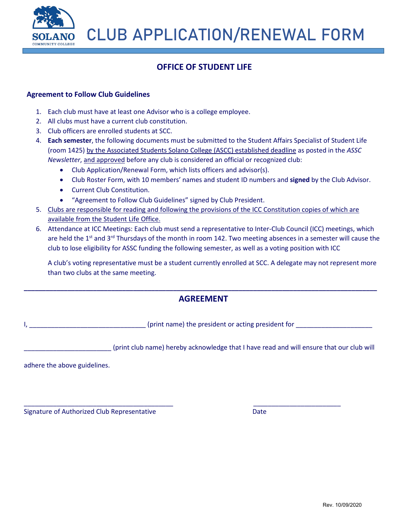

## **OFFICE OF STUDENT LIFE**

## **Agreement to Follow Club Guidelines**

- 1. Each club must have at least one Advisor who is a college employee.
- 2. All clubs must have a current club constitution.
- 3. Club officers are enrolled students at SCC.
- 4. **Each semester**, the following documents must be submitted to the Student Affairs Specialist of Student Life (room 1425) by the Associated Students Solano College (ASCC) established deadline as posted in the *ASSC Newsletter*, and approved before any club is considered an official or recognized club:
	- Club Application/Renewal Form, which lists officers and advisor(s).
	- Club Roster Form, with 10 members' names and student ID numbers and **signed** by the Club Advisor.
	- Current Club Constitution.
	- "Agreement to Follow Club Guidelines" signed by Club President.
- 5. Clubs are responsible for reading and following the provisions of the ICC Constitution copies of which are available from the Student Life Office.
- 6. Attendance at ICC Meetings: Each club must send a representative to Inter-Club Council (ICC) meetings, which are held the 1<sup>st</sup> and 3<sup>rd</sup> Thursdays of the month in room 142. Two meeting absences in a semester will cause the club to lose eligibility for ASSC funding the following semester, as well as a voting position with ICC

A club's voting representative must be a student currently enrolled at SCC. A delegate may not represent more than two clubs at the same meeting.

## **\_\_\_\_\_\_\_\_\_\_\_\_\_\_\_\_\_\_\_\_\_\_\_\_\_\_\_\_\_\_\_\_\_\_\_\_\_\_\_\_\_\_\_\_\_\_\_\_\_\_\_\_\_\_\_\_\_\_\_\_\_\_\_\_\_\_\_\_\_\_\_\_\_\_\_\_\_\_\_\_\_\_\_\_\_\_\_\_\_\_\_\_\_\_\_\_\_ AGREEMENT**

\_\_\_\_\_\_\_\_\_\_\_\_\_\_\_\_\_\_\_\_\_\_\_\_\_\_\_\_\_\_\_\_\_\_\_\_\_\_\_\_\_ \_\_\_\_\_\_\_\_\_\_\_\_\_\_\_\_\_\_\_\_\_\_\_\_

I, \_\_\_\_\_\_\_\_\_\_\_\_\_\_\_\_\_\_\_\_\_\_\_\_\_\_\_\_\_\_\_\_ (print name) the president or acting president for \_\_\_\_\_\_\_\_\_\_\_\_\_\_\_\_\_\_\_\_\_

\_\_\_\_\_\_\_\_\_\_\_\_\_\_\_\_\_\_\_\_\_\_\_\_ (print club name) hereby acknowledge that I have read and will ensure that our club will

adhere the above guidelines.

Signature of Authorized Club Representative **Date** Date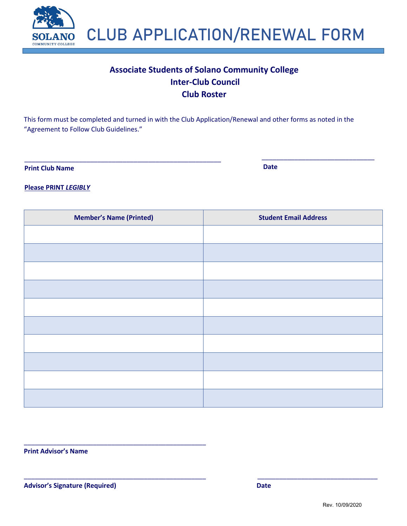

# **Associate Students of Solano Community College Inter-Club Council Club Roster**

This form must be completed and turned in with the Club Application/Renewal and other forms as noted in the "Agreement to Follow Club Guidelines."

\_\_\_\_\_\_\_\_\_\_\_\_\_\_\_\_\_\_\_\_\_\_\_\_\_\_\_\_\_\_\_\_\_\_\_\_\_\_\_\_\_\_\_\_\_\_\_\_\_\_\_\_\_\_ \_\_\_\_\_\_\_\_\_\_\_\_\_\_\_\_\_\_\_\_\_\_\_\_\_\_\_\_\_\_\_

**Print Club Name Date** 

**Please PRINT** *LEGIBLY*

| <b>Member's Name (Printed)</b> | <b>Student Email Address</b> |
|--------------------------------|------------------------------|
|                                |                              |
|                                |                              |
|                                |                              |
|                                |                              |
|                                |                              |
|                                |                              |
|                                |                              |
|                                |                              |
|                                |                              |
|                                |                              |

\_\_\_\_\_\_\_\_\_\_\_\_\_\_\_\_\_\_\_\_\_\_\_\_\_\_\_\_\_\_\_\_\_\_\_\_\_\_\_\_\_\_\_\_\_\_\_\_\_\_ \_\_\_\_\_\_\_\_\_\_\_\_\_\_\_\_\_\_\_\_\_\_\_\_\_\_\_\_\_\_\_\_\_

**Print Advisor's Name**

**Advisor's Signature (Required) Date**

\_\_\_\_\_\_\_\_\_\_\_\_\_\_\_\_\_\_\_\_\_\_\_\_\_\_\_\_\_\_\_\_\_\_\_\_\_\_\_\_\_\_\_\_\_\_\_\_\_\_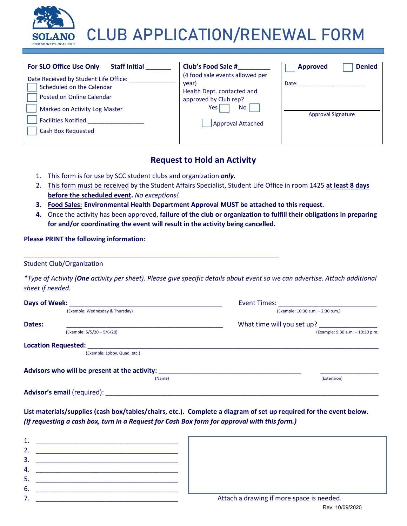

| For SLO Office Use Only<br><b>Staff Initial</b>                                                                                                                                             | <b>Club's Food Sale #</b>                                                                                                                         | <b>Denied</b><br><b>Approved</b>   |
|---------------------------------------------------------------------------------------------------------------------------------------------------------------------------------------------|---------------------------------------------------------------------------------------------------------------------------------------------------|------------------------------------|
| Date Received by Student Life Office:<br>Scheduled on the Calendar<br>Posted on Online Calendar<br>Marked on Activity Log Master<br><b>Facilities Notified</b><br><b>Cash Box Requested</b> | (4 food sale events allowed per<br>year)<br>Health Dept. contacted and<br>approved by Club rep?<br>Yes l<br><b>No</b><br><b>Approval Attached</b> | Date:<br><b>Approval Signature</b> |

## **Request to Hold an Activity**

1. This form is for use by SCC student clubs and organization *only.*

\_\_\_\_\_\_\_\_\_\_\_\_\_\_\_\_\_\_\_\_\_\_\_\_\_\_\_\_\_\_\_\_\_\_\_\_\_\_\_\_\_\_\_\_\_\_\_\_\_\_\_\_\_\_\_\_\_\_\_\_\_\_\_\_\_\_\_\_\_\_

- 2. This form must be received by the Student Affairs Specialist, Student Life Office in room 1425 **at least 8 days before the scheduled event.** *No exceptions!*
- **3. Food Sales: Environmental Health Department Approval MUST be attached to this request.**
- **4.** Once the activity has been approved, **failure of the club or organization to fulfill their obligations in preparing for and/or coordinating the event will result in the activity being cancelled.**

## **Please PRINT the following information:**

Student Club/Organization

*\*Type of Activity (One activity per sheet). Please give specific details about event so we can advertise. Attach additional sheet if needed.*

| Days of Week: |                                               | Event Times:                      |  |
|---------------|-----------------------------------------------|-----------------------------------|--|
|               | (Example: Wednesday & Thursday)               | (Example: 10:30 a.m. - 2:30 p.m.) |  |
| Dates:        |                                               | What time will you set up?        |  |
|               | (Example: 5/5/20 - 5/6/20)                    | (Example: 9:30 a.m. - 10:30 p.m.  |  |
|               | <b>Location Requested:</b>                    |                                   |  |
|               | (Example: Lobby, Quad, etc.)                  |                                   |  |
|               | Advisors who will be present at the activity: |                                   |  |
|               | (Name)                                        | (Extension)                       |  |
|               | Advisor's email (required):                   |                                   |  |

**List materials/supplies (cash box/tables/chairs, etc.). Complete a diagram of set up required for the event below.**  *(If requesting a cash box, turn in a Request for Cash Box form for approval with this form.)*

| р. |                                           |
|----|-------------------------------------------|
|    | Attach a drawing if more space is needed. |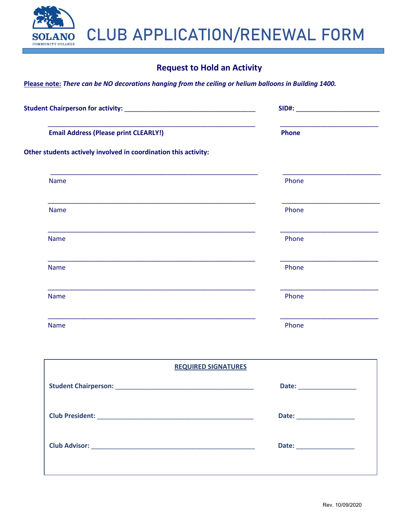## **Request to Hold an Activity**

**Please note:** *There can be NO decorations hanging from the ceiling or helium balloons in Building 1400.*

**NO** 

**COMMUNITY COLLEGE** 

| <u> 1980 - Jan Berlin, margaret amerikan bizkaitar (h. 1980).</u><br><b>Email Address (Please print CLEARLY!)</b> | <b>Phone</b> |
|-------------------------------------------------------------------------------------------------------------------|--------------|
| Other students actively involved in coordination this activity:                                                   |              |
| <b>Name</b>                                                                                                       | Phone        |
| <b>Name</b>                                                                                                       | Phone        |
| <b>Name</b>                                                                                                       | Phone        |
| <b>Name</b>                                                                                                       | Phone        |
| <b>Name</b>                                                                                                       | Phone        |
| <b>Name</b>                                                                                                       | Phone        |

| <b>REQUIRED SIGNATURES</b> |                          |
|----------------------------|--------------------------|
|                            |                          |
|                            | Date: __________________ |
|                            | Date: __________________ |
|                            |                          |